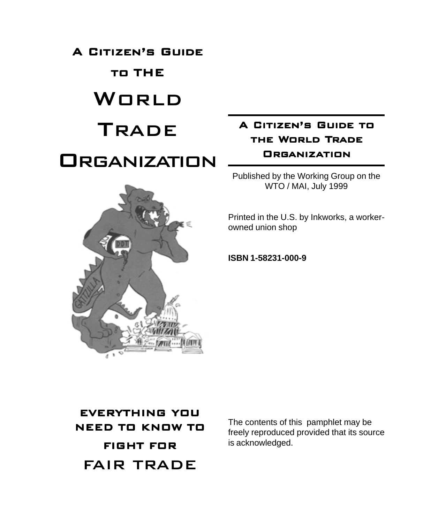A CITIZEN'S GUIDE

# TO THE

# WORLD

# **TRADE**

# **ORGANIZATION**



# A CITIZEN'S GUIDE TO THE WORLD TRADE **ORGANIZATION**

Published by the Working Group on the WTO / MAI, July 1999

Printed in the U.S. by Inkworks, a workerowned union shop

**ISBN 1-58231-000-9**

EVERYTHING YOU NEED TO KNOW TO FIGHT FOR FAIR TRADE

The contents of this pamphlet may be freely reproduced provided that its source is acknowledged.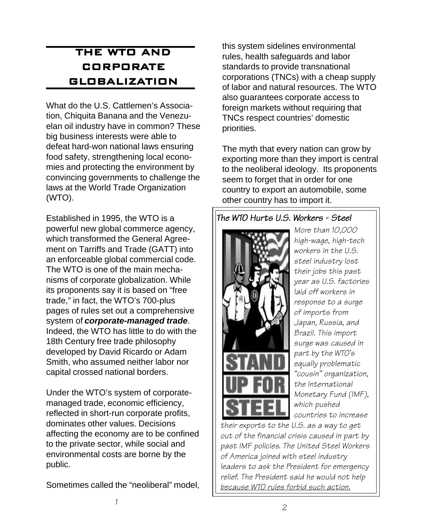# THE WTO AND **CORPORATE** GLOBALIZATION

What do the U.S. Cattlemen's Association, Chiquita Banana and the Venezuelan oil industry have in common? These big business interests were able to defeat hard-won national laws ensuring food safety, strengthening local economies and protecting the environment by convincing governments to challenge the laws at the World Trade Organization (WTO).

Established in 1995, the WTO is a powerful new global commerce agency, which transformed the General Agreement on Tarriffs and Trade (GATT) into an enforceable global commercial code. The WTO is one of the main mechanisms of corporate globalization. While its proponents say it is based on "free trade," in fact, the WTO's 700-plus pages of rules set out a comprehensive system of **corporate-managed trade**. Indeed, the WTO has little to do with the 18th Century free trade philosophy developed by David Ricardo or Adam Smith, who assumed neither labor nor capital crossed national borders.

Under the WTO's system of corporatemanaged trade, economic efficiency, reflected in short-run corporate profits, dominates other values. Decisions affecting the economy are to be confined to the private sector, while social and environmental costs are borne by the public.

Sometimes called the "neoliberal" model,

this system sidelines environmental rules, health safeguards and labor standards to provide transnational corporations (TNCs) with a cheap supply of labor and natural resources. The WTO also guarantees corporate access to foreign markets without requiring that TNCs respect countries' domestic priorities.

The myth that every nation can grow by exporting more than they import is central to the neoliberal ideology. Its proponents seem to forget that in order for one country to export an automobile, some other country has to import it.

### The WTO Hurts U.S. Workers - Steel



More than 10,000 high-wage, high-tech workers in the U.S. steel industry lost their jobs this past year as U.S. factories laid off workers in response to a surge of imports from Japan, Russia, and Brazil. This import surge was caused in part by the WTO's equally problematic "cousin" organization, the International Monetary Fund (IMF), which pushed countries to increase

their exports to the U.S. as a way to get out of the financial crisis caused in part by past IMF policies. The United Steel Workers of America joined with steel industry leaders to ask the President for emergency relief. The President said he would not help because WTO rules forbid such action.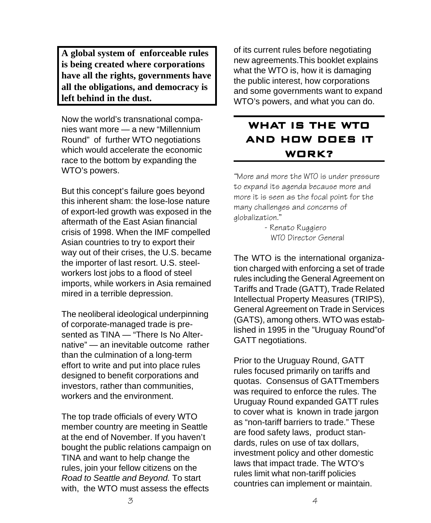**A global system of enforceable rules is being created where corporations have all the rights, governments have all the obligations, and democracy is left behind in the dust.**

Now the world's transnational companies want more — a new "Millennium Round" of further WTO negotiations which would accelerate the economic race to the bottom by expanding the WTO's powers.

But this concept's failure goes beyond this inherent sham: the lose-lose nature of export-led growth was exposed in the aftermath of the East Asian financial crisis of 1998. When the IMF compelled Asian countries to try to export their way out of their crises, the U.S. became the importer of last resort. U.S. steelworkers lost jobs to a flood of steel imports, while workers in Asia remained mired in a terrible depression.

The neoliberal ideological underpinning of corporate-managed trade is presented as TINA — "There Is No Alternative" — an inevitable outcome rather than the culmination of a long-term effort to write and put into place rules designed to benefit corporations and investors, rather than communities, workers and the environment.

The top trade officials of every WTO member country are meeting in Seattle at the end of November. If you haven't bought the public relations campaign on TINA and want to help change the rules, join your fellow citizens on the Road to Seattle and Beyond. To start with, the WTO must assess the effects

of its current rules before negotiating new agreements.This booklet explains what the WTO is, how it is damaging the public interest, how corporations and some governments want to expand WTO's powers, and what you can do.

# WHAT IS THE WTO AND HOW DOES IT WORK?

"More and more the WTO is under pressure to expand its agenda because more and more it is seen as the focal point for the many challenges and concerns of globalization."

> - Renato Ruggiero WTO Director General

The WTO is the international organization charged with enforcing a set of trade rules including the General Agreement on Tariffs and Trade (GATT), Trade Related Intellectual Property Measures (TRIPS), General Agreement on Trade in Services (GATS), among others. WTO was established in 1995 in the "Uruguay Round"of GATT negotiations.

Prior to the Uruguay Round, GATT rules focused primarily on tariffs and quotas. Consensus of GATTmembers was required to enforce the rules. The Uruguay Round expanded GATT rules to cover what is known in trade jargon as "non-tariff barriers to trade." These are food safety laws, product standards, rules on use of tax dollars, investment policy and other domestic laws that impact trade. The WTO's rules limit what non-tariff policies countries can implement or maintain.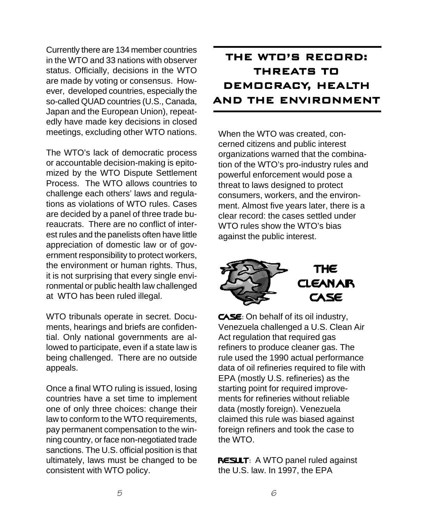Currently there are 134 member countries in the WTO and 33 nations with observer status. Officially, decisions in the WTO are made by voting or consensus. However, developed countries, especially the so-called QUAD countries (U.S., Canada, Japan and the European Union), repeatedly have made key decisions in closed meetings, excluding other WTO nations.

The WTO's lack of democratic process or accountable decision-making is epitomized by the WTO Dispute Settlement Process. The WTO allows countries to challenge each others' laws and regulations as violations of WTO rules. Cases are decided by a panel of three trade bureaucrats. There are no conflict of interest rules and the panelists often have little appreciation of domestic law or of government responsibility to protect workers, the environment or human rights. Thus, it is not surprising that every single environmental or public health law challenged at WTO has been ruled illegal.

WTO tribunals operate in secret. Documents, hearings and briefs are confidential. Only national governments are allowed to participate, even if a state law is being challenged. There are no outside appeals.

Once a final WTO ruling is issued, losing countries have a set time to implement one of only three choices: change their law to conform to the WTO requirements, pay permanent compensation to the winning country, or face non-negotiated trade sanctions. The U.S. official position is that ultimately, laws must be changed to be consistent with WTO policy.

# THE WTO'S RECORD: THREATS TO DEMOCRACY, HEALTH AND THE ENVIRONMENT

When the WTO was created, concerned citizens and public interest organizations warned that the combination of the WTO's pro-industry rules and powerful enforcement would pose a threat to laws designed to protect consumers, workers, and the environment. Almost five years later, there is a clear record: the cases settled under WTO rules show the WTO's bias against the public interest.



CASE: On behalf of its oil industry, Venezuela challenged a U.S. Clean Air Act regulation that required gas refiners to produce cleaner gas. The rule used the 1990 actual performance data of oil refineries required to file with EPA (mostly U.S. refineries) as the starting point for required improvements for refineries without reliable data (mostly foreign). Venezuela claimed this rule was biased against foreign refiners and took the case to the WTO.

**RESULT:** A WTO panel ruled against the U.S. law. In 1997, the EPA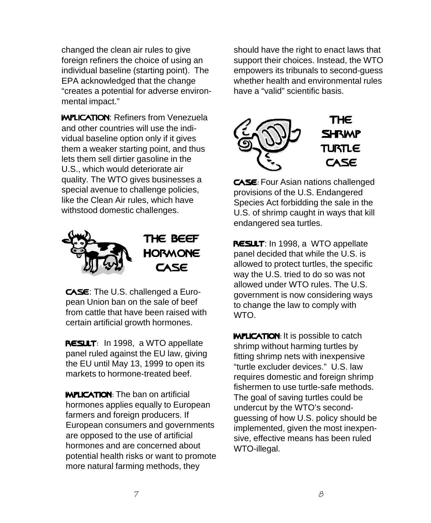changed the clean air rules to give foreign refiners the choice of using an individual baseline (starting point). The EPA acknowledged that the change "creates a potential for adverse environmental impact."

**WPLICATION: Refiners from Venezuela** and other countries will use the individual baseline option only if it gives them a weaker starting point, and thus lets them sell dirtier gasoline in the U.S., which would deteriorate air quality. The WTO gives businesses a special avenue to challenge policies, like the Clean Air rules, which have withstood domestic challenges.



CASE: The U.S. challenged a European Union ban on the sale of beef from cattle that have been raised with certain artificial growth hormones.

RESULT: In 1998, a WTO appellate panel ruled against the EU law, giving the EU until May 13, 1999 to open its markets to hormone-treated beef.

**MPLICATION:** The ban on artificial hormones applies equally to European farmers and foreign producers. If European consumers and governments are opposed to the use of artificial hormones and are concerned about potential health risks or want to promote more natural farming methods, they

should have the right to enact laws that support their choices. Instead, the WTO empowers its tribunals to second-guess whether health and environmental rules have a "valid" scientific basis.



CASE: Four Asian nations challenged provisions of the U.S. Endangered Species Act forbidding the sale in the U.S. of shrimp caught in ways that kill endangered sea turtles.

RESULT: In 1998, a WTO appellate panel decided that while the U.S. is allowed to protect turtles, the specific way the U.S. tried to do so was not allowed under WTO rules. The U.S. government is now considering ways to change the law to comply with WTO.

**WPLICATION:** It is possible to catch shrimp without harming turtles by fitting shrimp nets with inexpensive "turtle excluder devices." U.S. law requires domestic and foreign shrimp fishermen to use turtle-safe methods. The goal of saving turtles could be undercut by the WTO's secondguessing of how U.S. policy should be implemented, given the most inexpensive, effective means has been ruled WTO-illegal.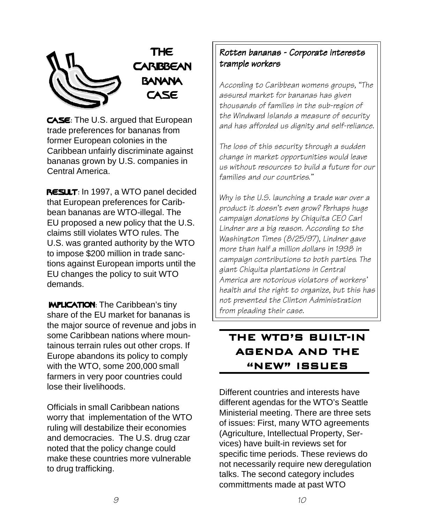

CASE: The U.S. argued that European trade preferences for bananas from former European colonies in the Caribbean unfairly discriminate against bananas grown by U.S. companies in Central America.

RESULT: In 1997, a WTO panel decided that European preferences for Caribbean bananas are WTO-illegal. The EU proposed a new policy that the U.S. claims still violates WTO rules. The U.S. was granted authority by the WTO to impose \$200 million in trade sanctions against European imports until the EU changes the policy to suit WTO demands.

**MPLICATION:** The Caribbean's tiny share of the EU market for bananas is the major source of revenue and jobs in some Caribbean nations where mountainous terrain rules out other crops. If Europe abandons its policy to comply with the WTO, some 200,000 small farmers in very poor countries could lose their livelihoods.

Officials in small Caribbean nations worry that implementation of the WTO ruling will destabilize their economies and democracies. The U.S. drug czar noted that the policy change could make these countries more vulnerable to drug trafficking.

### Rotten bananas - Corporate interests trample workers

According to Caribbean womens groups, "The assured market for bananas has given thousands of families in the sub-region of the Windward Islands a measure of security and has afforded us dignity and self-reliance.

The loss of this security through a sudden change in market opportunities would leave us without resources to build a future for our families and our countries."

Why is the U.S. launching a trade war over a product it doesn't even grow? Perhaps huge campaign donations by Chiquita CEO Carl Lindner are a big reason. According to the Washington Times (8/25/97), Lindner gave more than half a million dollars in 1998 in campaign contributions to both parties. The giant Chiquita plantations in Central America are notorious violators of workers' health and the right to organize, but this has not prevented the Clinton Administration from pleading their case.

## THE WTO'S BUILT-IN AGENDA AND THE "NEW" ISSUES

Different countries and interests have different agendas for the WTO's Seattle Ministerial meeting. There are three sets of issues: First, many WTO agreements (Agriculture, Intellectual Property, Services) have built-in reviews set for specific time periods. These reviews do not necessarily require new deregulation talks. The second category includes committments made at past WTO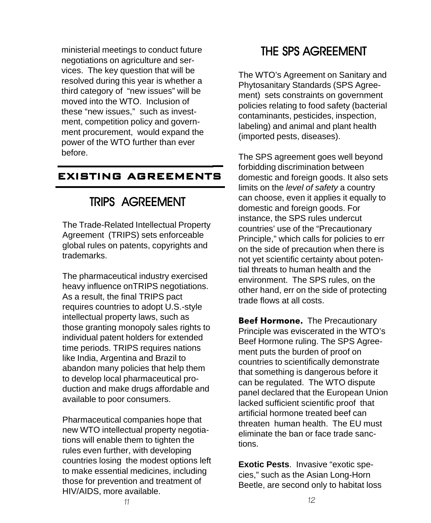ministerial meetings to conduct future negotiations on agriculture and services. The key question that will be resolved during this year is whether a third category of "new issues" will be moved into the WTO. Inclusion of these "new issues," such as investment, competition policy and government procurement, would expand the power of the WTO further than ever before.

# EXISTING AGREEMENTS

# **TRIPS AGREEMENT**

The Trade-Related Intellectual Property Agreement (TRIPS) sets enforceable global rules on patents, copyrights and trademarks.

The pharmaceutical industry exercised heavy influence onTRIPS negotiations. As a result, the final TRIPS pact requires countries to adopt U.S.-style intellectual property laws, such as those granting monopoly sales rights to individual patent holders for extended time periods. TRIPS requires nations like India, Argentina and Brazil to abandon many policies that help them to develop local pharmaceutical production and make drugs affordable and available to poor consumers.

Pharmaceutical companies hope that new WTO intellectual property negotiations will enable them to tighten the rules even further, with developing countries losing the modest options left to make essential medicines, including those for prevention and treatment of HIV/AIDS, more available.

# **THE SPS AGREEMENT**

The WTO's Agreement on Sanitary and Phytosanitary Standards (SPS Agreement) sets constraints on government policies relating to food safety (bacterial contaminants, pesticides, inspection, labeling) and animal and plant health (imported pests, diseases).

The SPS agreement goes well beyond forbidding discrimination between domestic and foreign goods. It also sets limits on the level of safety a country can choose, even it applies it equally to domestic and foreign goods. For instance, the SPS rules undercut countries' use of the "Precautionary Principle," which calls for policies to err on the side of precaution when there is not yet scientific certainty about potential threats to human health and the environment. The SPS rules, on the other hand, err on the side of protecting trade flows at all costs.

Beef Hormone. The Precautionary Principle was eviscerated in the WTO's Beef Hormone ruling. The SPS Agreement puts the burden of proof on countries to scientifically demonstrate that something is dangerous before it can be regulated. The WTO dispute panel declared that the European Union lacked sufficient scientific proof that artificial hormone treated beef can threaten human health. The EU must eliminate the ban or face trade sanctions.

**Exotic Pests**. Invasive "exotic species," such as the Asian Long-Horn Beetle, are second only to habitat loss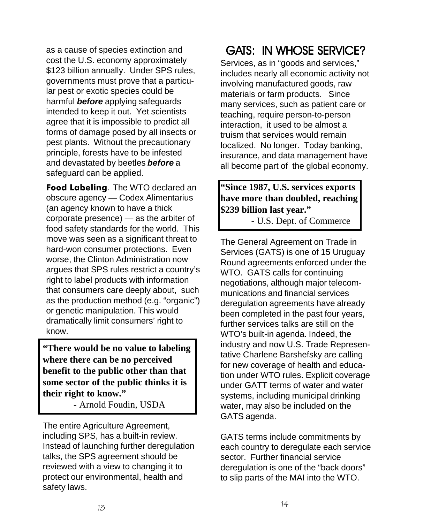as a cause of species extinction and cost the U.S. economy approximately \$123 billion annually. Under SPS rules, governments must prove that a particular pest or exotic species could be harmful **before** applying safeguards intended to keep it out. Yet scientists agree that it is impossible to predict all forms of damage posed by all insects or pest plants. Without the precautionary principle, forests have to be infested and devastated by beetles **before** a safeguard can be applied.

Food Labeling. The WTO declared an obscure agency — Codex Alimentarius (an agency known to have a thick corporate presence) — as the arbiter of food safety standards for the world. This move was seen as a significant threat to hard-won consumer protections. Even worse, the Clinton Administration now argues that SPS rules restrict a country's right to label products with information that consumers care deeply about, such as the production method (e.g. "organic") or genetic manipulation. This would dramatically limit consumers' right to know.

**"There would be no value to labeling where there can be no perceived benefit to the public other than that some sector of the public thinks it is their right to know."**

**-** Arnold Foudin, USDA

The entire Agriculture Agreement, including SPS, has a built-in review. Instead of launching further deregulation talks, the SPS agreement should be reviewed with a view to changing it to protect our environmental, health and safety laws.

# GATS: IN WHOSE SERVICE?

Services, as in "goods and services," includes nearly all economic activity not involving manufactured goods, raw materials or farm products. Since many services, such as patient care or teaching, require person-to-person interaction, it used to be almost a truism that services would remain localized. No longer. Today banking, insurance, and data management have all become part of the global economy.

### **"Since 1987, U.S. services exports have more than doubled, reaching \$239 billion last year."**

**-** U.S. Dept. of Commerce

The General Agreement on Trade in Services (GATS) is one of 15 Uruguay Round agreements enforced under the WTO. GATS calls for continuing negotiations, although major telecommunications and financial services deregulation agreements have already been completed in the past four years, further services talks are still on the WTO's built-in agenda. Indeed, the industry and now U.S. Trade Representative Charlene Barshefsky are calling for new coverage of health and education under WTO rules. Explicit coverage under GATT terms of water and water systems, including municipal drinking water, may also be included on the GATS agenda.

GATS terms include commitments by each country to deregulate each service sector. Further financial service deregulation is one of the "back doors" to slip parts of the MAI into the WTO.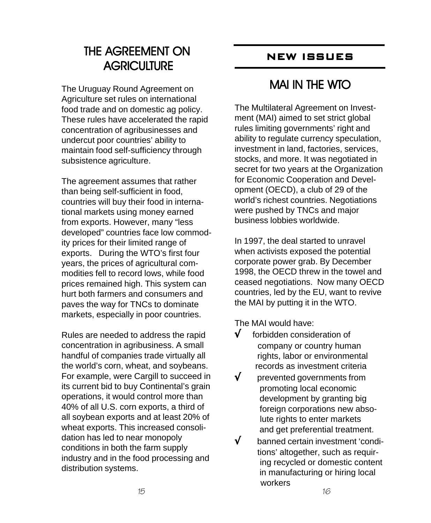# THE AGREEMENT ON **AGRICULTURE**

The Uruguay Round Agreement on Agriculture set rules on international food trade and on domestic ag policy. These rules have accelerated the rapid concentration of agribusinesses and undercut poor countries' ability to maintain food self-sufficiency through subsistence agriculture.

The agreement assumes that rather than being self-sufficient in food, countries will buy their food in international markets using money earned from exports. However, many "less developed" countries face low commodity prices for their limited range of exports. During the WTO's first four years, the prices of agricultural commodities fell to record lows, while food prices remained high. This system can hurt both farmers and consumers and paves the way for TNCs to dominate markets, especially in poor countries.

Rules are needed to address the rapid concentration in agribusiness. A small handful of companies trade virtually all the world's corn, wheat, and soybeans. For example, were Cargill to succeed in its current bid to buy Continental's grain operations, it would control more than 40% of all U.S. corn exports, a third of all soybean exports and at least 20% of wheat exports. This increased consolidation has led to near monopoly conditions in both the farm supply industry and in the food processing and distribution systems.

# NEW ISSUES

# **MAI IN THE WTO**

The Multilateral Agreement on Investment (MAI) aimed to set strict global rules limiting governments' right and ability to regulate currency speculation, investment in land, factories, services, stocks, and more. It was negotiated in secret for two years at the Organization for Economic Cooperation and Development (OECD), a club of 29 of the world's richest countries. Negotiations were pushed by TNCs and major business lobbies worldwide.

In 1997, the deal started to unravel when activists exposed the potential corporate power grab. By December 1998, the OECD threw in the towel and ceased negotiations. Now many OECD countries, led by the EU, want to revive the MAI by putting it in the WTO.

The MAI would have:

- √ forbidden consideration of company or country human rights, labor or environmental records as investment criteria
- √ prevented governments from promoting local economic development by granting big foreign corporations new abso lute rights to enter markets
- and get preferential treatment.<br>  $\sqrt{\phantom{a}}$  hanned certain investment 'cone √ banned certain investment 'condi tions' altogether, such as requir ing recycled or domestic content in manufacturing or hiring local workers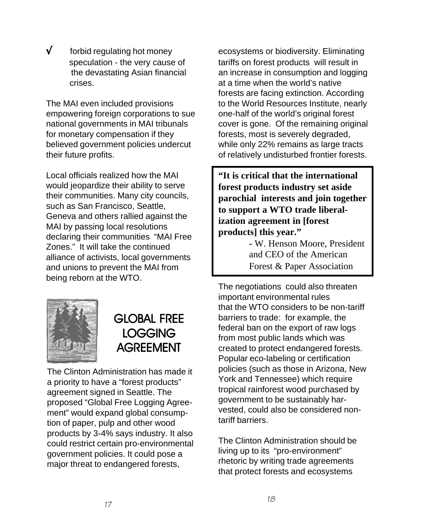√ forbid regulating hot money speculation - the very cause of the devastating Asian financial crises.

The MAI even included provisions empowering foreign corporations to sue national governments in MAI tribunals for monetary compensation if they believed government policies undercut their future profits.

Local officials realized how the MAI would jeopardize their ability to serve their communities. Many city councils, such as San Francisco, Seattle, Geneva and others rallied against the MAI by passing local resolutions declaring their communities "MAI Free Zones." It will take the continued alliance of activists, local governments and unions to prevent the MAI from being reborn at the WTO.



# **GLOBAL FREE LOGGING AGREEMENT**

The Clinton Administration has made it a priority to have a "forest products" agreement signed in Seattle. The proposed "Global Free Logging Agreement" would expand global consumption of paper, pulp and other wood products by 3-4% says industry. It also could restrict certain pro-environmental government policies. It could pose a major threat to endangered forests,

ecosystems or biodiversity. Eliminating tariffs on forest products will result in an increase in consumption and logging at a time when the world's native forests are facing extinction. According to the World Resources Institute, nearly one-half of the world's original forest cover is gone. Of the remaining original forests, most is severely degraded, while only 22% remains as large tracts of relatively undisturbed frontier forests.

**"It is critical that the international forest products industry set aside parochial interests and join together to support a WTO trade liberalization agreement in [forest products] this year."**

> **-** W. Henson Moore, President and CEO of the American Forest & Paper Association

The negotiations could also threaten important environmental rules that the WTO considers to be non-tariff barriers to trade: for example, the federal ban on the export of raw logs from most public lands which was created to protect endangered forests. Popular eco-labeling or certification policies (such as those in Arizona, New York and Tennessee) which require tropical rainforest wood purchased by government to be sustainably harvested, could also be considered nontariff barriers.

The Clinton Administration should be living up to its "pro-environment" rhetoric by writing trade agreements that protect forests and ecosystems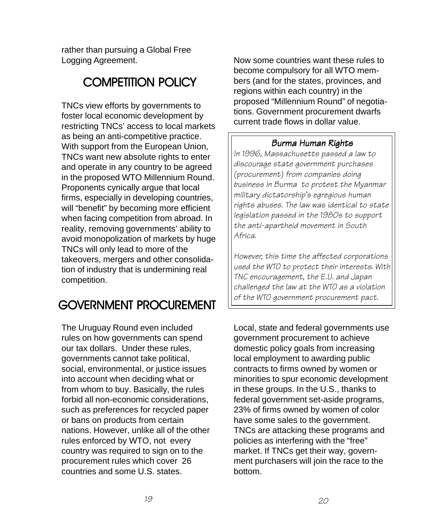rather than pursuing a Global Free Logging Agreement.

# **COMPETITION POLICY**

TNCs view efforts by governments to foster local economic development by restricting TNCs' access to local markets as being an anti-competitive practice. With support from the European Union, TNCs want new absolute rights to enter and operate in any country to be agreed in the proposed WTO Millennium Round. Proponents cynically argue that local firms, especially in developing countries, will "benefit" by becoming more efficient when facing competition from abroad. In reality, removing governments' ability to avoid monopolization of markets by huge TNCs will only lead to more of the takeovers, mergers and other consolidation of industry that is undermining real competition.

# GOVERNMENT PROCUREMENT

The Uruguay Round even included rules on how governments can spend our tax dollars. Under these rules, governments cannot take political, social, environmental, or justice issues into account when deciding what or from whom to buy. Basically, the rules forbid all non-economic considerations, such as preferences for recycled paper or bans on products from certain nations. However, unlike all of the other rules enforced by WTO, not every country was required to sign on to the procurement rules which cover 26 countries and some U.S. states.

Now some countries want these rules to become compulsory for all WTO members (and for the states, provinces, and regions within each country) in the proposed "Millennium Round" of negotiations. Government procurement dwarfs current trade flows in dollar value.

### Burma Human Rights

In 1996, Massachusetts passed a law to discourage state government purchases (procurement) from companies doing business in Burma to protest the Myanmar military dictatorship's egregious human rights abuses. The law was identical to state legislation passed in the 1980s to support the anti-apartheid movement in South Africa.

However, this time the affected corporations used the WTO to protect their interests. With TNC encouragement, the E.U. and Japan challenged the law at the WTO as a violation of the WTO government procurement pact.

Local, state and federal governments use government procurement to achieve domestic policy goals from increasing local employment to awarding public contracts to firms owned by women or minorities to spur economic development in these groups. In the U.S., thanks to federal government set-aside programs, 23% of firms owned by women of color have some sales to the government. TNCs are attacking these programs and policies as interfering with the "free" market. If TNCs get their way, government purchasers will join the race to the bottom.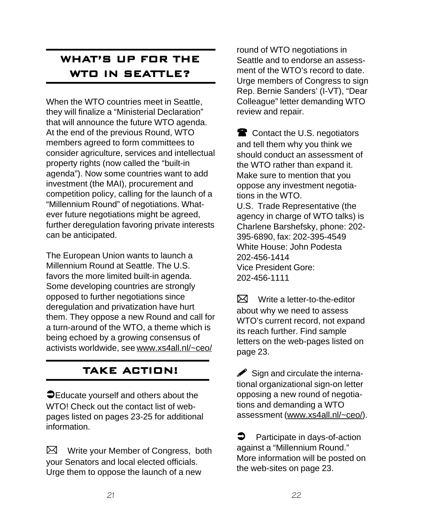# WHAT'S UP FOR THE WTO IN SEATTLE?

When the WTO countries meet in Seattle, they will finalize a "Ministerial Declaration" that will announce the future WTO agenda. At the end of the previous Round, WTO members agreed to form committees to consider agriculture, services and intellectual property rights (now called the "built-in agenda"). Now some countries want to add investment (the MAI), procurement and competition policy, calling for the launch of a "Millennium Round" of negotiations. Whatever future negotiations might be agreed, further deregulation favoring private interests can be anticipated.

The European Union wants to launch a Millennium Round at Seattle. The U.S. favors the more limited built-in agenda. Some developing countries are strongly opposed to further negotiations since deregulation and privatization have hurt them. They oppose a new Round and call for a turn-around of the WTO, a theme which is being echoed by a growing consensus of activists worldwide, see www.xs4all.nl/~ceo/

# TAKE ACTION!

**O** Educate yourself and others about the WTO! Check out the contact list of webpages listed on pages 23-25 for additional information.

 $\boxtimes$ Write your Member of Congress, both your Senators and local elected officials. Urge them to oppose the launch of a new

round of WTO negotiations in Seattle and to endorse an assessment of the WTO's record to date. Urge members of Congress to sign Rep. Bernie Sanders' (I-VT), "Dear Colleague" letter demanding WTO review and repair.

**Contact the U.S. negotiators** and tell them why you think we should conduct an assessment of the WTO rather than expand it. Make sure to mention that you oppose any investment negotiations in the WTO. U.S. Trade Representative (the agency in charge of WTO talks) is Charlene Barshefsky, phone: 202- 395-6890, fax: 202-395-4549 White House: John Podesta 202-456-1414 Vice President Gore: 202-456-1111

प्र्य Write a letter-to-the-editor about why we need to assess WTO's current record, not expand its reach further. Find sample letters on the web-pages listed on page 23.

 $\blacktriangleright$  Sign and circulate the international organizational sign-on letter opposing a new round of negotiations and demanding a WTO assessment (www.xs4all.nl/~ceo/).

**P** Participate in days-of-action against a "Millennium Round." More information will be posted on the web-sites on page 23.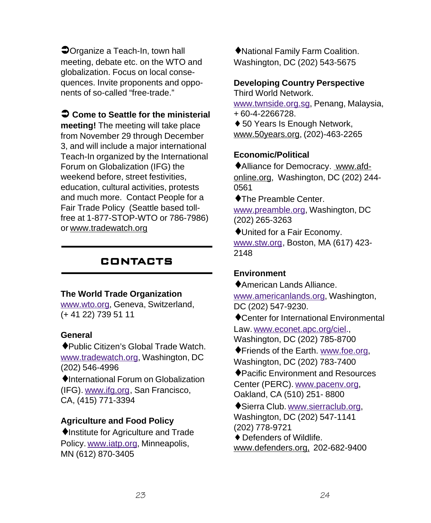Organize a Teach-In, town hall meeting, debate etc. on the WTO and globalization. Focus on local consequences. Invite proponents and opponents of so-called "free-trade."

 **Come to Seattle for the ministerial meeting!** The meeting will take place from November 29 through December 3, and will include a major international Teach-In organized by the International Forum on Globalization (IFG) the weekend before, street festivities, education, cultural activities, protests and much more. Contact People for a Fair Trade Policy (Seattle based tollfree at 1-877-STOP-WTO or 786-7986) or www.tradewatch.org

### **CONTACTS**

### **The World Trade Organization**

www.wto.org, Geneva, Switzerland, (+ 41 22) 739 51 11

### **General**

♦Public Citizen's Global Trade Watch. www.tradewatch.org, Washington, DC (202) 546-4996

♦International Forum on Globalization (IFG). www.ifg.org, San Francisco, CA, (415) 771-3394

### **Agriculture and Food Policy**

♦Institute for Agriculture and Trade Policy. www.iatp.org, Minneapolis, MN (612) 870-3405

♦National Family Farm Coalition. Washington, DC (202) 543-5675

### **Developing Country Perspective**

Third World Network. www.twnside.org.sg, Penang, Malaysia, + 60-4-2266728.

♦ 50 Years Is Enough Network, www.50years.org, (202)-463-2265

### **Economic/Political**

♦Alliance for Democracy. www.afdonline.org, Washington, DC (202) 244- 0561

♦The Preamble Center.

www.preamble.org, Washington, DC (202) 265-3263

♦United for a Fair Economy. www.stw.org, Boston, MA (617) 423- 2148

#### **Environment**

♦American Lands Alliance.

www.americanlands.org, Washington, DC (202) 547-9230.

♦Center for International Environmental Law. www.econet.apc.org/ciel., Washington, DC (202) 785-8700

- ♦Friends of the Earth. www.foe.org, Washington, DC (202) 783-7400
- ♦Pacific Environment and Resources Center (PERC). www.pacenv.org, Oakland, CA (510) 251- 8800

♦Sierra Club. www.sierraclub.org, Washington, DC (202) 547-1141 (202) 778-9721

♦ Defenders of Wildlife.

www.defenders.org, 202-682-9400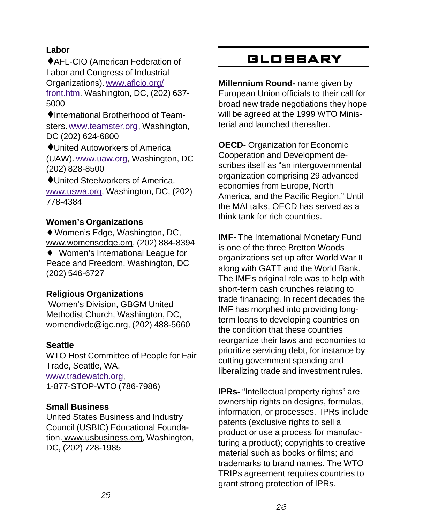### **Labor**

♦AFL-CIO (American Federation of Labor and Congress of Industrial Organizations). www.aflcio.org/ front.htm. Washington, DC, (202) 637- 5000

♦International Brotherhood of Teamsters. www.teamster.org, Washington, DC (202) 624-6800

♦United Autoworkers of America (UAW). www.uaw.org, Washington, DC (202) 828-8500

♦United Steelworkers of America. www.uswa.org, Washington, DC, (202) 778-4384

### **Women's Organizations**

♦ Women's Edge, Washington, DC, www.womensedge.org, (202) 884-8394

♦ Women's International League for Peace and Freedom, Washington, DC (202) 546-6727

### **Religious Organizations**

 Women's Division, GBGM United Methodist Church, Washington, DC, womendivdc@igc.org, (202) 488-5660

### **Seattle**

WTO Host Committee of People for Fair Trade, Seattle, WA, www.tradewatch.org, 1-877-STOP-WTO (786-7986)

### **Small Business**

United States Business and Industry Council (USBIC) Educational Foundation. www.usbusiness.org, Washington, DC, (202) 728-1985

# **GLOSSARY**

**Millennium Round-** name given by European Union officials to their call for broad new trade negotiations they hope will be agreed at the 1999 WTO Ministerial and launched thereafter.

**OECD**- Organization for Economic Cooperation and Development describes itself as "an intergovernmental organization comprising 29 advanced economies from Europe, North America, and the Pacific Region." Until the MAI talks, OECD has served as a think tank for rich countries.

**IMF-** The International Monetary Fund is one of the three Bretton Woods organizations set up after World War II along with GATT and the World Bank. The IMF's original role was to help with short-term cash crunches relating to trade finanacing. In recent decades the IMF has morphed into providing longterm loans to developing countries on the condition that these countries reorganize their laws and economies to prioritize servicing debt, for instance by cutting government spending and liberalizing trade and investment rules.

**IPRs-** "Intellectual property rights" are ownership rights on designs, formulas, information, or processes. IPRs include patents (exclusive rights to sell a product or use a process for manufacturing a product); copyrights to creative material such as books or films; and trademarks to brand names. The WTO TRIPs agreement requires countries to grant strong protection of IPRs.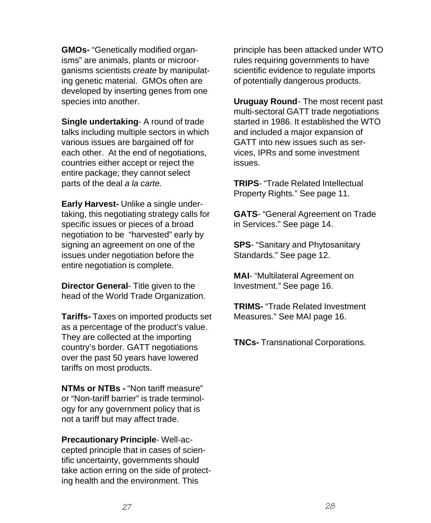**GMOs-** "Genetically modified organisms" are animals, plants or microorganisms scientists create by manipulating genetic material. GMOs often are developed by inserting genes from one species into another.

**Single undertaking**- A round of trade talks including multiple sectors in which various issues are bargained off for each other. At the end of negotiations, countries either accept or reject the entire package; they cannot select parts of the deal a la carte.

**Early Harvest-** Unlike a single undertaking, this negotiating strategy calls for specific issues or pieces of a broad negotiation to be "harvested" early by signing an agreement on one of the issues under negotiation before the entire negotiation is complete.

**Director General**- Title given to the head of the World Trade Organization.

**Tariffs-** Taxes on imported products set as a percentage of the product's value. They are collected at the importing country's border. GATT negotiations over the past 50 years have lowered tariffs on most products.

**NTMs or NTBs -** "Non tariff measure" or "Non-tariff barrier" is trade terminology for any government policy that is not a tariff but may affect trade.

**Precautionary Principle**- Well-accepted principle that in cases of scientific uncertainty, governments should take action erring on the side of protecting health and the environment. This

principle has been attacked under WTO rules requiring governments to have scientific evidence to regulate imports of potentially dangerous products.

**Uruguay Round**- The most recent past multi-sectoral GATT trade negotiations started in 1986. It established the WTO and included a major expansion of GATT into new issues such as services, IPRs and some investment issues.

**TRIPS**- "Trade Related Intellectual Property Rights." See page 11.

**GATS**- "General Agreement on Trade in Services." See page 14.

**SPS**- "Sanitary and Phytosanitary Standards." See page 12.

**MAI**- "Multilateral Agreement on Investment." See page 16.

**TRIMS-** "Trade Related Investment Measures." See MAI page 16.

**TNCs-** Transnational Corporations.